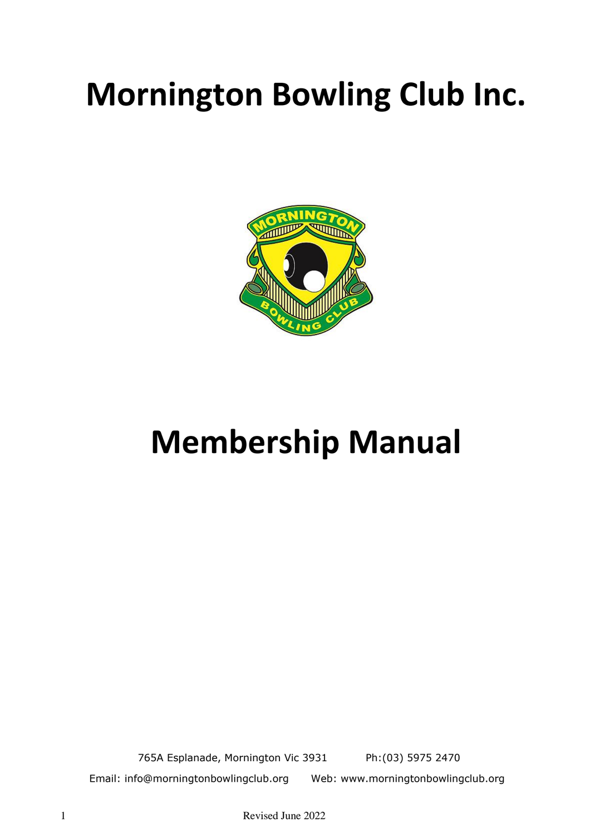# **Mornington Bowling Club Inc.**



# **Membership Manual**

765A Esplanade, Mornington Vic 3931 Ph:(03) 5975 2470 Email: info@morningtonbowlingclub.org Web: www.morningtonbowlingclub.org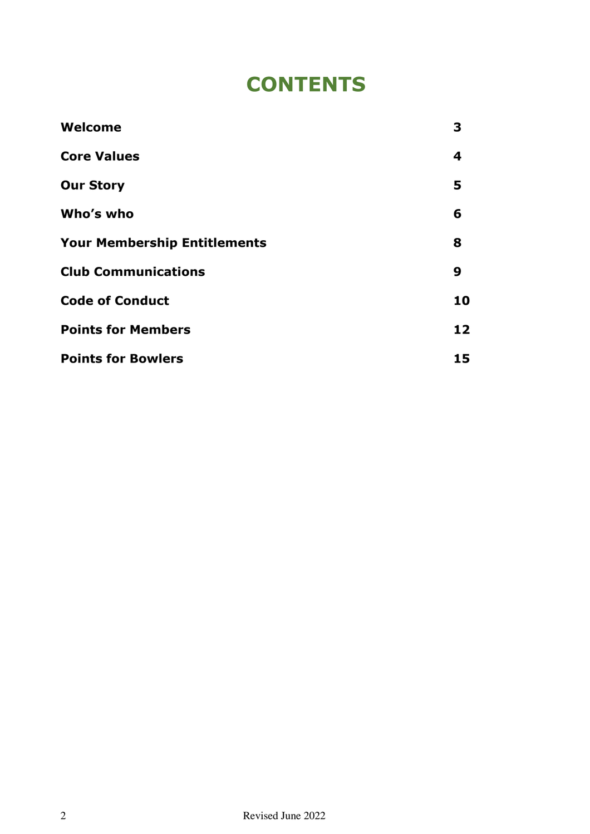# **CONTENTS**

| Welcome                             | 3  |
|-------------------------------------|----|
| <b>Core Values</b>                  | 4  |
| <b>Our Story</b>                    | 5  |
| Who's who                           | 6  |
| <b>Your Membership Entitlements</b> | 8  |
| <b>Club Communications</b>          | 9  |
| <b>Code of Conduct</b>              | 10 |
| <b>Points for Members</b>           | 12 |
| <b>Points for Bowlers</b>           | 15 |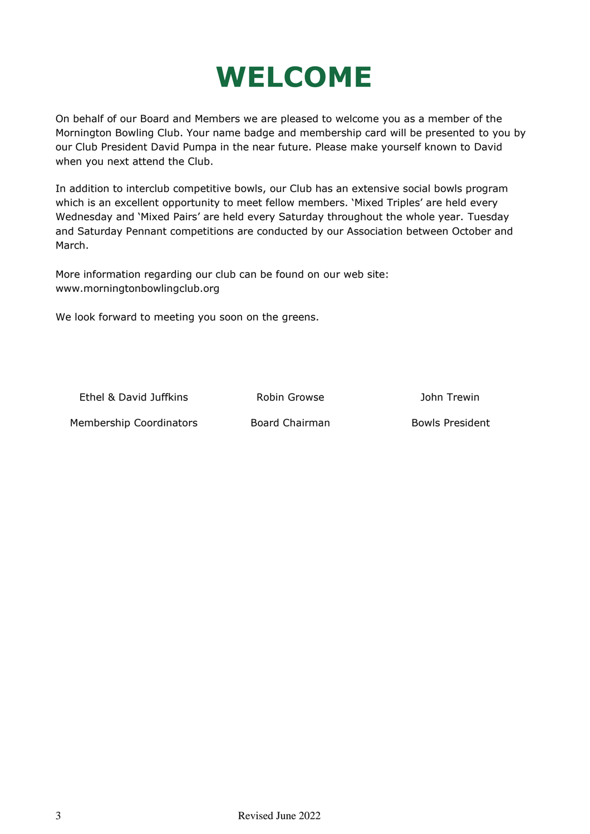# **WELCOME**

On behalf of our Board and Members we are pleased to welcome you as a member of the Mornington Bowling Club. Your name badge and membership card will be presented to you by our Club President David Pumpa in the near future. Please make yourself known to David when you next attend the Club.

In addition to interclub competitive bowls, our Club has an extensive social bowls program which is an excellent opportunity to meet fellow members. 'Mixed Triples' are held every Wednesday and 'Mixed Pairs' are held every Saturday throughout the whole year. Tuesday and Saturday Pennant competitions are conducted by our Association between October and March.

More information regarding our club can be found on our web site: www.morningtonbowlingclub.org

We look forward to meeting you soon on the greens.

Ethel & David Juffkins Robin Growse John Trewin

Membership Coordinators **Board Chairman** Bowls President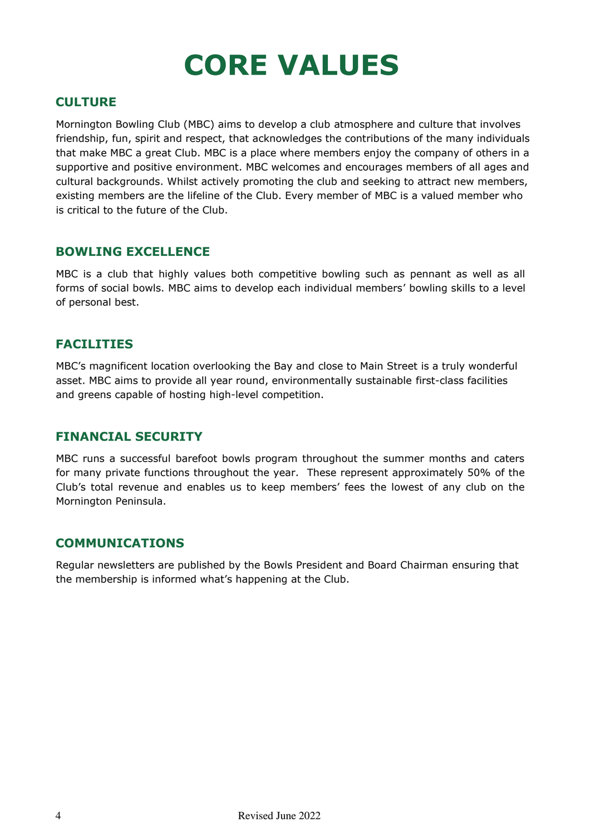# **CORE VALUES**

### **CULTURE**

Mornington Bowling Club (MBC) aims to develop a club atmosphere and culture that involves friendship, fun, spirit and respect, that acknowledges the contributions of the many individuals that make MBC a great Club. MBC is a place where members enjoy the company of others in a supportive and positive environment. MBC welcomes and encourages members of all ages and cultural backgrounds. Whilst actively promoting the club and seeking to attract new members, existing members are the lifeline of the Club. Every member of MBC is a valued member who is critical to the future of the Club.

### **BOWLING EXCELLENCE**

MBC is a club that highly values both competitive bowling such as pennant as well as all forms of social bowls. MBC aims to develop each individual members' bowling skills to a level of personal best.

### **FACILITIES**

MBC's magnificent location overlooking the Bay and close to Main Street is a truly wonderful asset. MBC aims to provide all year round, environmentally sustainable first-class facilities and greens capable of hosting high-level competition.

### **FINANCIAL SECURITY**

MBC runs a successful barefoot bowls program throughout the summer months and caters for many private functions throughout the year. These represent approximately 50% of the Club's total revenue and enables us to keep members' fees the lowest of any club on the Mornington Peninsula.

### **COMMUNICATIONS**

Regular newsletters are published by the Bowls President and Board Chairman ensuring that the membership is informed what's happening at the Club.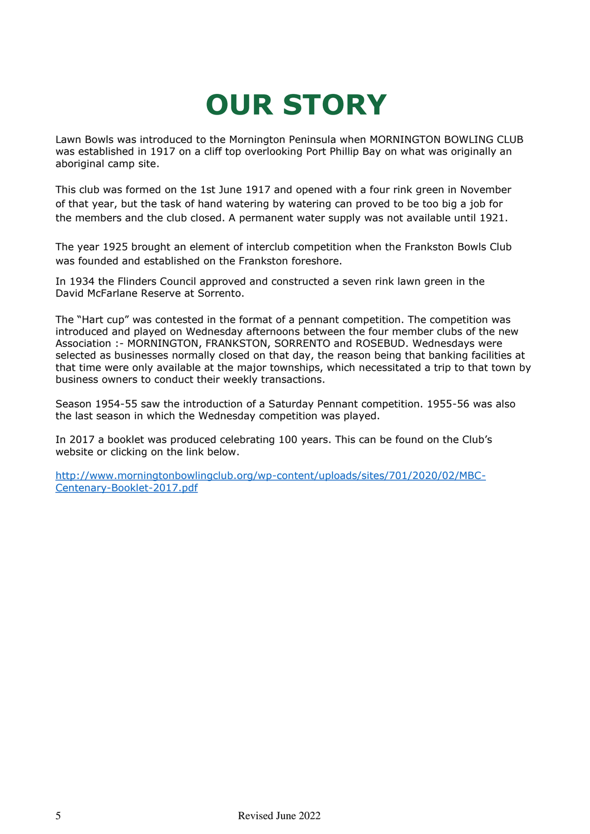# **OUR STORY**

Lawn Bowls was introduced to the Mornington Peninsula when MORNINGTON BOWLING CLUB was established in 1917 on a cliff top overlooking Port Phillip Bay on what was originally an aboriginal camp site.

This club was formed on the 1st June 1917 and opened with a four rink green in November of that year, but the task of hand watering by watering can proved to be too big a job for the members and the club closed. A permanent water supply was not available until 1921.

The year 1925 brought an element of interclub competition when the Frankston Bowls Club was founded and established on the Frankston foreshore.

In 1934 the Flinders Council approved and constructed a seven rink lawn green in the David McFarlane Reserve at Sorrento.

The "Hart cup" was contested in the format of a pennant competition. The competition was introduced and played on Wednesday afternoons between the four member clubs of the new Association :- MORNINGTON, FRANKSTON, SORRENTO and ROSEBUD. Wednesdays were selected as businesses normally closed on that day, the reason being that banking facilities at that time were only available at the major townships, which necessitated a trip to that town by business owners to conduct their weekly transactions.

Season 1954-55 saw the introduction of a Saturday Pennant competition. 1955-56 was also the last season in which the Wednesday competition was played.

In 2017 a booklet was produced celebrating 100 years. This can be found on the Club's website or clicking on the link below.

[http://www.morningtonbowlingclub.org/wp-content/uploads/sites/701/2020/02/MBC-](http://www.morningtonbowlingclub.org/wp-content/uploads/sites/701/2020/02/MBC-Centenary-Booklet-2017.pdf)[Centenary-Booklet-2017.pdf](http://www.morningtonbowlingclub.org/wp-content/uploads/sites/701/2020/02/MBC-Centenary-Booklet-2017.pdf)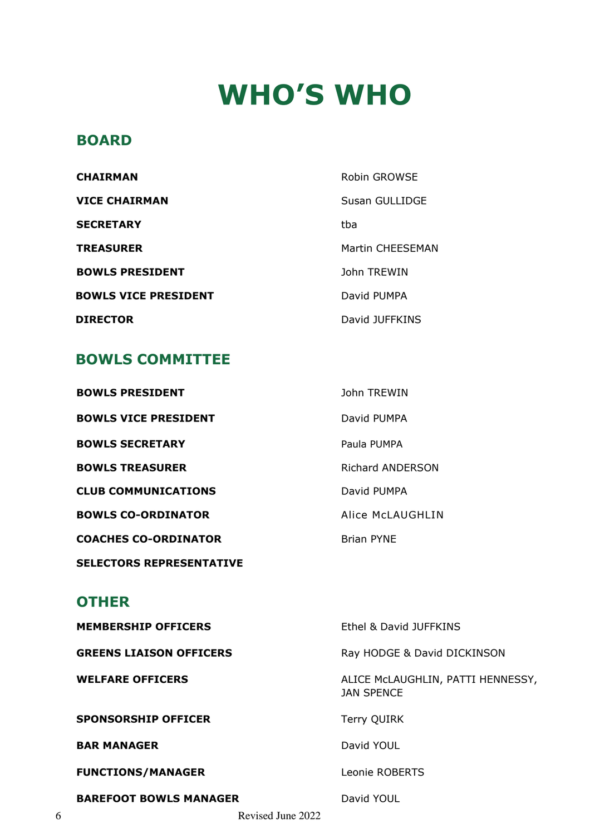# **WHO'S WHO**

## **BOARD**

| <b>CHAIRMAN</b>             | Robin GROWSE     |
|-----------------------------|------------------|
| <b>VICE CHAIRMAN</b>        | Susan GULLIDGE   |
| <b>SECRETARY</b>            | tha              |
| <b>TREASURER</b>            | Martin CHEESEMAN |
| <b>BOWLS PRESIDENT</b>      | John TREWIN      |
| <b>BOWLS VICE PRESIDENT</b> | David PUMPA      |
| <b>DIRECTOR</b>             | David JUFFKINS   |

## **BOWLS COMMITTEE**

| <b>BOWLS PRESIDENT</b>      | John TREWIN       |
|-----------------------------|-------------------|
| <b>BOWLS VICE PRESIDENT</b> | David PUMPA       |
| <b>BOWLS SECRETARY</b>      | Paula PUMPA       |
| <b>BOWLS TREASURER</b>      | Richard ANDERSON  |
| <b>CLUB COMMUNICATIONS</b>  | David PUMPA       |
| <b>BOWLS CO-ORDINATOR</b>   | Alice McLAUGHLIN  |
| <b>COACHES CO-ORDINATOR</b> | <b>Brian PYNE</b> |

**SELECTORS REPRESENTATIVE**

## **OTHER**

|   | <b>MEMBERSHIP OFFICERS</b>     |                   | Ethel & David JUFFKINS                                 |
|---|--------------------------------|-------------------|--------------------------------------------------------|
|   | <b>GREENS LIAISON OFFICERS</b> |                   | Ray HODGE & David DICKINSON                            |
|   | <b>WELFARE OFFICERS</b>        |                   | ALICE McLAUGHLIN, PATTI HENNESSY,<br><b>JAN SPENCE</b> |
|   | <b>SPONSORSHIP OFFICER</b>     |                   | <b>Terry QUIRK</b>                                     |
|   | <b>BAR MANAGER</b>             |                   | David YOUL                                             |
|   | <b>FUNCTIONS/MANAGER</b>       |                   | Leonie ROBERTS                                         |
|   | <b>BAREFOOT BOWLS MANAGER</b>  |                   | David YOUL                                             |
| 6 |                                | Revised June 2022 |                                                        |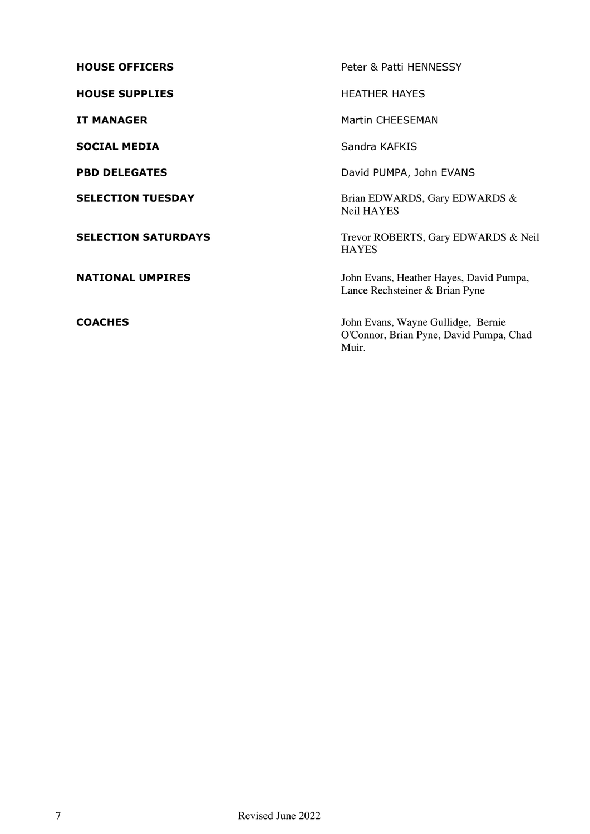| <b>HOUSE OFFICERS</b>      | Peter & Patti HENNESSY                                                                 |
|----------------------------|----------------------------------------------------------------------------------------|
| <b>HOUSE SUPPLIES</b>      | <b>HEATHER HAYES</b>                                                                   |
| <b>IT MANAGER</b>          | Martin CHEESEMAN                                                                       |
| <b>SOCIAL MEDIA</b>        | Sandra KAFKIS                                                                          |
| <b>PBD DELEGATES</b>       | David PUMPA, John EVANS                                                                |
| <b>SELECTION TUESDAY</b>   | Brian EDWARDS, Gary EDWARDS &<br><b>Neil HAYES</b>                                     |
| <b>SELECTION SATURDAYS</b> | Trevor ROBERTS, Gary EDWARDS & Neil<br><b>HAYES</b>                                    |
| <b>NATIONAL UMPIRES</b>    | John Evans, Heather Hayes, David Pumpa,<br>Lance Rechsteiner & Brian Pyne              |
| <b>COACHES</b>             | John Evans, Wayne Gullidge, Bernie<br>O'Connor, Brian Pyne, David Pumpa, Chad<br>Muir. |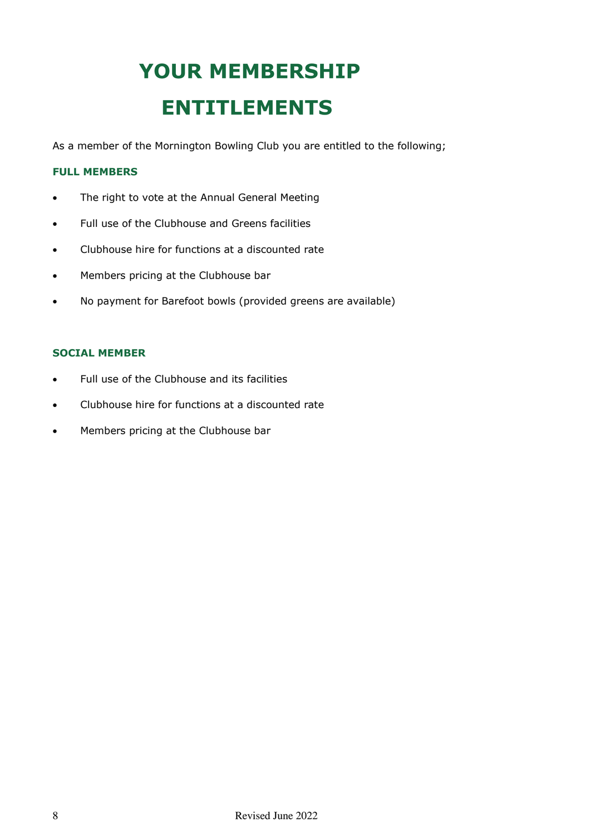# **YOUR MEMBERSHIP ENTITLEMENTS**

As a member of the Mornington Bowling Club you are entitled to the following;

### **FULL MEMBERS**

- The right to vote at the Annual General Meeting
- Full use of the Clubhouse and Greens facilities
- Clubhouse hire for functions at a discounted rate
- Members pricing at the Clubhouse bar
- No payment for Barefoot bowls (provided greens are available)

### **SOCIAL MEMBER**

- Full use of the Clubhouse and its facilities
- Clubhouse hire for functions at a discounted rate
- Members pricing at the Clubhouse bar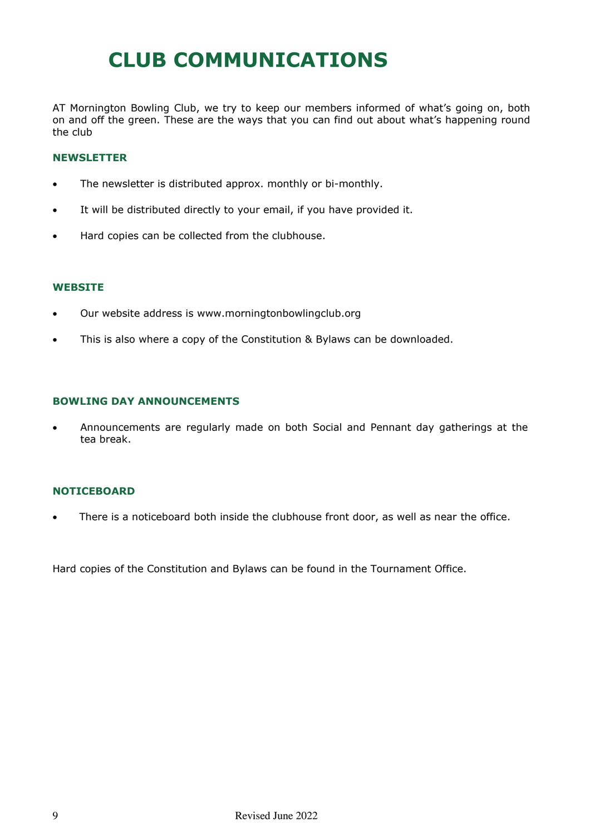## **CLUB COMMUNICATIONS**

AT Mornington Bowling Club, we try to keep our members informed of what's going on, both on and off the green. These are the ways that you can find out about what's happening round the club

### **NEWSLETTER**

- The newsletter is distributed approx. monthly or bi-monthly.
- It will be distributed directly to your email, if you have provided it.
- Hard copies can be collected from the clubhouse.

#### **WEBSITE**

- Our website address is www.morningtonbowlingclub.org
- This is also where a copy of the Constitution & Bylaws can be downloaded.

### **BOWLING DAY ANNOUNCEMENTS**

• Announcements are regularly made on both Social and Pennant day gatherings at the tea break.

### **NOTICEBOARD**

There is a noticeboard both inside the clubhouse front door, as well as near the office.

Hard copies of the Constitution and Bylaws can be found in the Tournament Office.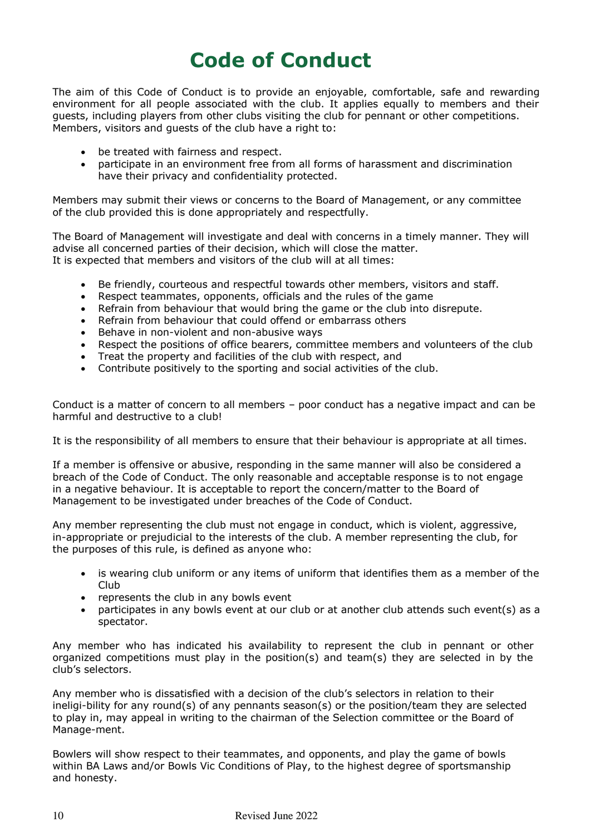## **Code of Conduct**

The aim of this Code of Conduct is to provide an enjoyable, comfortable, safe and rewarding environment for all people associated with the club. It applies equally to members and their guests, including players from other clubs visiting the club for pennant or other competitions. Members, visitors and guests of the club have a right to:

- be treated with fairness and respect.
- participate in an environment free from all forms of harassment and discrimination have their privacy and confidentiality protected.

Members may submit their views or concerns to the Board of Management, or any committee of the club provided this is done appropriately and respectfully.

The Board of Management will investigate and deal with concerns in a timely manner. They will advise all concerned parties of their decision, which will close the matter. It is expected that members and visitors of the club will at all times:

- Be friendly, courteous and respectful towards other members, visitors and staff.
- Respect teammates, opponents, officials and the rules of the game
- Refrain from behaviour that would bring the game or the club into disrepute.
- Refrain from behaviour that could offend or embarrass others
- Behave in non-violent and non-abusive ways
- Respect the positions of office bearers, committee members and volunteers of the club
- Treat the property and facilities of the club with respect, and
- Contribute positively to the sporting and social activities of the club.

Conduct is a matter of concern to all members – poor conduct has a negative impact and can be harmful and destructive to a club!

It is the responsibility of all members to ensure that their behaviour is appropriate at all times.

If a member is offensive or abusive, responding in the same manner will also be considered a breach of the Code of Conduct. The only reasonable and acceptable response is to not engage in a negative behaviour. It is acceptable to report the concern/matter to the Board of Management to be investigated under breaches of the Code of Conduct.

Any member representing the club must not engage in conduct, which is violent, aggressive, in-appropriate or prejudicial to the interests of the club. A member representing the club, for the purposes of this rule, is defined as anyone who:

- is wearing club uniform or any items of uniform that identifies them as a member of the Club
- represents the club in any bowls event
- participates in any bowls event at our club or at another club attends such event(s) as a spectator.

Any member who has indicated his availability to represent the club in pennant or other organized competitions must play in the position(s) and team(s) they are selected in by the club's selectors.

Any member who is dissatisfied with a decision of the club's selectors in relation to their ineligi-bility for any round(s) of any pennants season(s) or the position/team they are selected to play in, may appeal in writing to the chairman of the Selection committee or the Board of Manage-ment.

Bowlers will show respect to their teammates, and opponents, and play the game of bowls within BA Laws and/or Bowls Vic Conditions of Play, to the highest degree of sportsmanship and honesty.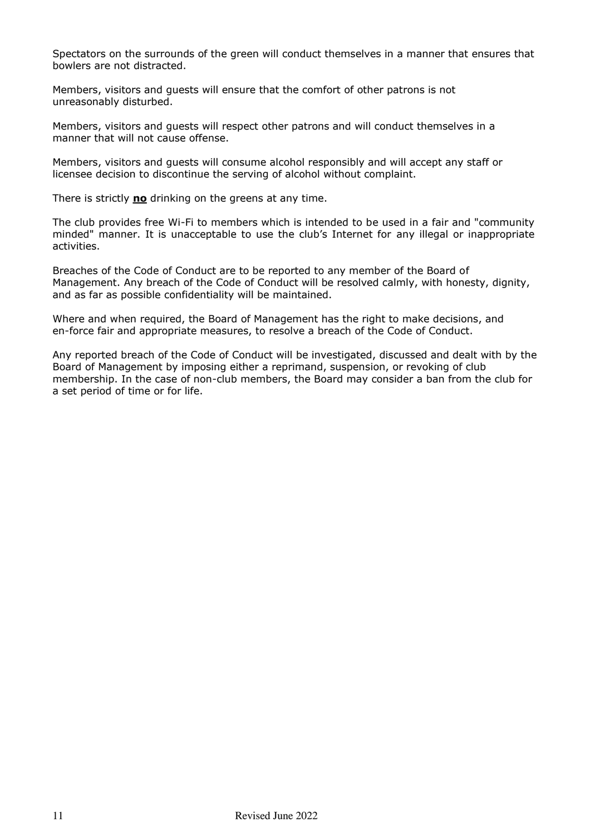Spectators on the surrounds of the green will conduct themselves in a manner that ensures that bowlers are not distracted.

Members, visitors and guests will ensure that the comfort of other patrons is not unreasonably disturbed.

Members, visitors and guests will respect other patrons and will conduct themselves in a manner that will not cause offense

Members, visitors and guests will consume alcohol responsibly and will accept any staff or licensee decision to discontinue the serving of alcohol without complaint.

There is strictly **no** drinking on the greens at any time.

The club provides free Wi-Fi to members which is intended to be used in a fair and "community minded" manner. It is unacceptable to use the club's Internet for any illegal or inappropriate activities.

Breaches of the Code of Conduct are to be reported to any member of the Board of Management. Any breach of the Code of Conduct will be resolved calmly, with honesty, dignity, and as far as possible confidentiality will be maintained.

Where and when required, the Board of Management has the right to make decisions, and en-force fair and appropriate measures, to resolve a breach of the Code of Conduct.

Any reported breach of the Code of Conduct will be investigated, discussed and dealt with by the Board of Management by imposing either a reprimand, suspension, or revoking of club membership. In the case of non-club members, the Board may consider a ban from the club for a set period of time or for life.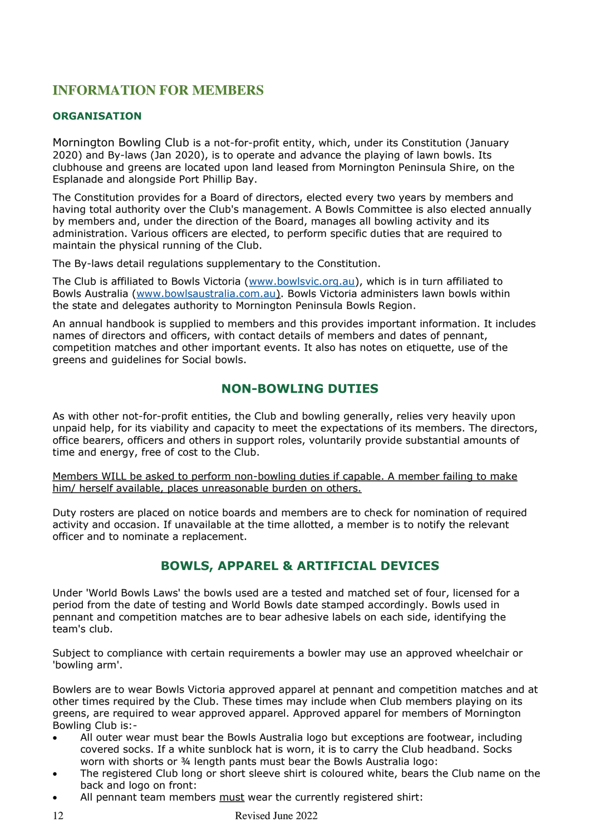## **INFORMATION FOR MEMBERS**

### **ORGANISATION**

Mornington Bowling Club is a not-for-profit entity, which, under its Constitution (January 2020) and By-laws (Jan 2020), is to operate and advance the playing of lawn bowls. Its clubhouse and greens are located upon land leased from Mornington Peninsula Shire, on the Esplanade and alongside Port Phillip Bay.

The Constitution provides for a Board of directors, elected every two years by members and having total authority over the Club's management. A Bowls Committee is also elected annually by members and, under the direction of the Board, manages all bowling activity and its administration. Various officers are elected, to perform specific duties that are required to maintain the physical running of the Club.

The By-laws detail regulations supplementary to the Constitution.

The Club is affiliated to Bowls Victoria [\(www.bowlsvic.org.au\)](http://www.bowlsvic.org.au/), which is in turn affiliated to Bowls Australia [\(www.bowlsaustralia.com.au\).](http://www.bowlsaustralia.com.au/) Bowls Victoria administers lawn bowls within the state and delegates authority to Mornington Peninsula Bowls Region.

An annual handbook is supplied to members and this provides important information. It includes names of directors and officers, with contact details of members and dates of pennant, competition matches and other important events. It also has notes on etiquette, use of the greens and guidelines for Social bowls.

### **NON-BOWLING DUTIES**

As with other not-for-profit entities, the Club and bowling generally, relies very heavily upon unpaid help, for its viability and capacity to meet the expectations of its members. The directors, office bearers, officers and others in support roles, voluntarily provide substantial amounts of time and energy, free of cost to the Club.

Members WILL be asked to perform non-bowling duties if capable. A member failing to make him/ herself available, places unreasonable burden on others.

Duty rosters are placed on notice boards and members are to check for nomination of required activity and occasion. If unavailable at the time allotted, a member is to notify the relevant officer and to nominate a replacement.

### **BOWLS, APPAREL & ARTIFICIAL DEVICES**

Under 'World Bowls Laws' the bowls used are a tested and matched set of four, licensed for a period from the date of testing and World Bowls date stamped accordingly. Bowls used in pennant and competition matches are to bear adhesive labels on each side, identifying the team's club.

Subject to compliance with certain requirements a bowler may use an approved wheelchair or 'bowling arm'.

Bowlers are to wear Bowls Victoria approved apparel at pennant and competition matches and at other times required by the Club. These times may include when Club members playing on its greens, are required to wear approved apparel. Approved apparel for members of Mornington Bowling Club is:-

- All outer wear must bear the Bowls Australia logo but exceptions are footwear, including covered socks. If a white sunblock hat is worn, it is to carry the Club headband. Socks worn with shorts or 34 length pants must bear the Bowls Australia logo:
- The registered Club long or short sleeve shirt is coloured white, bears the Club name on the back and logo on front:
- All pennant team members must wear the currently registered shirt: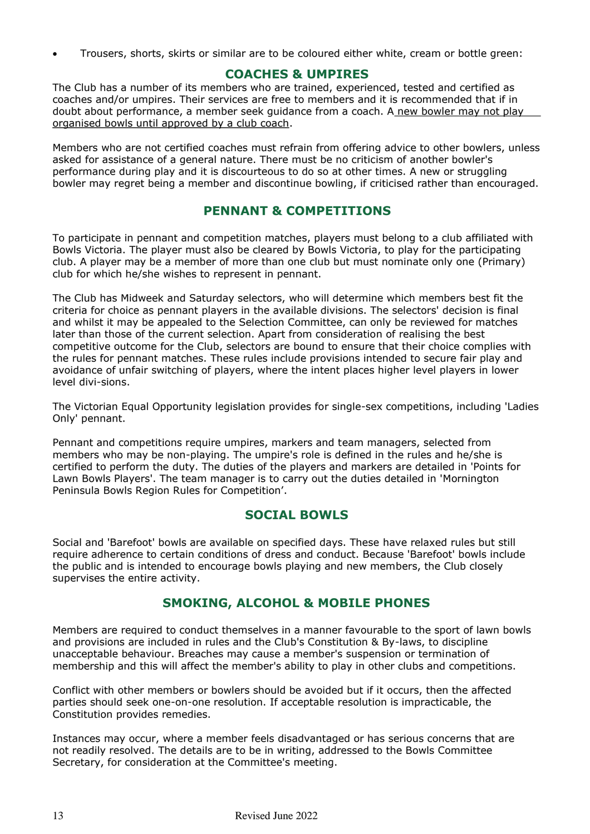• Trousers, shorts, skirts or similar are to be coloured either white, cream or bottle green:

### **COACHES & UMPIRES**

The Club has a number of its members who are trained, experienced, tested and certified as coaches and/or umpires. Their services are free to members and it is recommended that if in doubt about performance, a member seek guidance from a coach. A new bowler may not play organised bowls until approved by a club coach.

Members who are not certified coaches must refrain from offering advice to other bowlers, unless asked for assistance of a general nature. There must be no criticism of another bowler's performance during play and it is discourteous to do so at other times. A new or struggling bowler may regret being a member and discontinue bowling, if criticised rather than encouraged.

### **PENNANT & COMPETITIONS**

To participate in pennant and competition matches, players must belong to a club affiliated with Bowls Victoria. The player must also be cleared by Bowls Victoria, to play for the participating club. A player may be a member of more than one club but must nominate only one (Primary) club for which he/she wishes to represent in pennant.

The Club has Midweek and Saturday selectors, who will determine which members best fit the criteria for choice as pennant players in the available divisions. The selectors' decision is final and whilst it may be appealed to the Selection Committee, can only be reviewed for matches later than those of the current selection. Apart from consideration of realising the best competitive outcome for the Club, selectors are bound to ensure that their choice complies with the rules for pennant matches. These rules include provisions intended to secure fair play and avoidance of unfair switching of players, where the intent places higher level players in lower level divi-sions.

The Victorian Equal Opportunity legislation provides for single-sex competitions, including 'Ladies Only' pennant.

Pennant and competitions require umpires, markers and team managers, selected from members who may be non-playing. The umpire's role is defined in the rules and he/she is certified to perform the duty. The duties of the players and markers are detailed in 'Points for Lawn Bowls Players'. The team manager is to carry out the duties detailed in 'Mornington Peninsula Bowls Region Rules for Competition'.

### **SOCIAL BOWLS**

Social and 'Barefoot' bowls are available on specified days. These have relaxed rules but still require adherence to certain conditions of dress and conduct. Because 'Barefoot' bowls include the public and is intended to encourage bowls playing and new members, the Club closely supervises the entire activity.

### **SMOKING, ALCOHOL & MOBILE PHONES**

Members are required to conduct themselves in a manner favourable to the sport of lawn bowls and provisions are included in rules and the Club's Constitution & By-laws, to discipline unacceptable behaviour. Breaches may cause a member's suspension or termination of membership and this will affect the member's ability to play in other clubs and competitions.

Conflict with other members or bowlers should be avoided but if it occurs, then the affected parties should seek one-on-one resolution. If acceptable resolution is impracticable, the Constitution provides remedies.

Instances may occur, where a member feels disadvantaged or has serious concerns that are not readily resolved. The details are to be in writing, addressed to the Bowls Committee Secretary, for consideration at the Committee's meeting.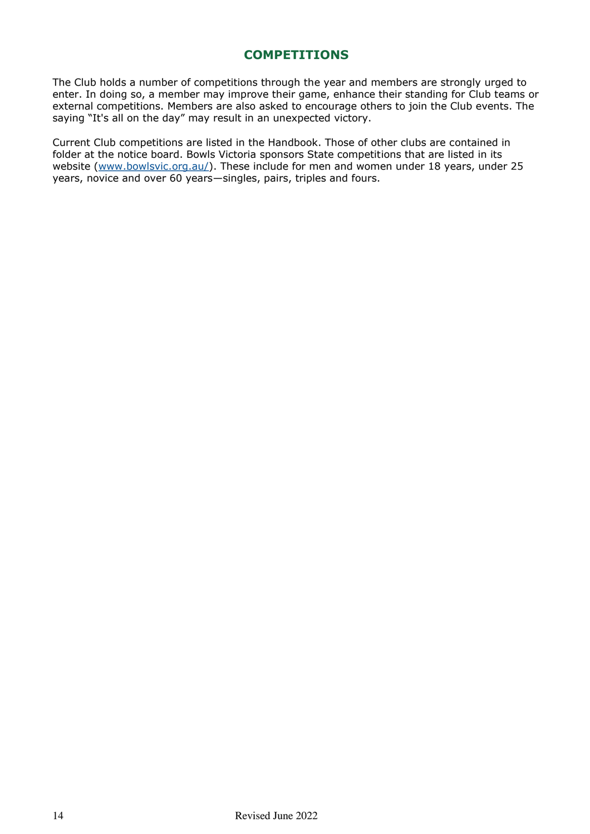### **COMPETITIONS**

The Club holds a number of competitions through the year and members are strongly urged to enter. In doing so, a member may improve their game, enhance their standing for Club teams or external competitions. Members are also asked to encourage others to join the Club events. The saying "It's all on the day" may result in an unexpected victory.

Current Club competitions are listed in the Handbook. Those of other clubs are contained in folder at the notice board. Bowls Victoria sponsors State competitions that are listed in its website (www.bowlsvic.org.au/). These include for men and women under 18 years, under 25 years, novice and over 60 years—singles, pairs, triples and fours.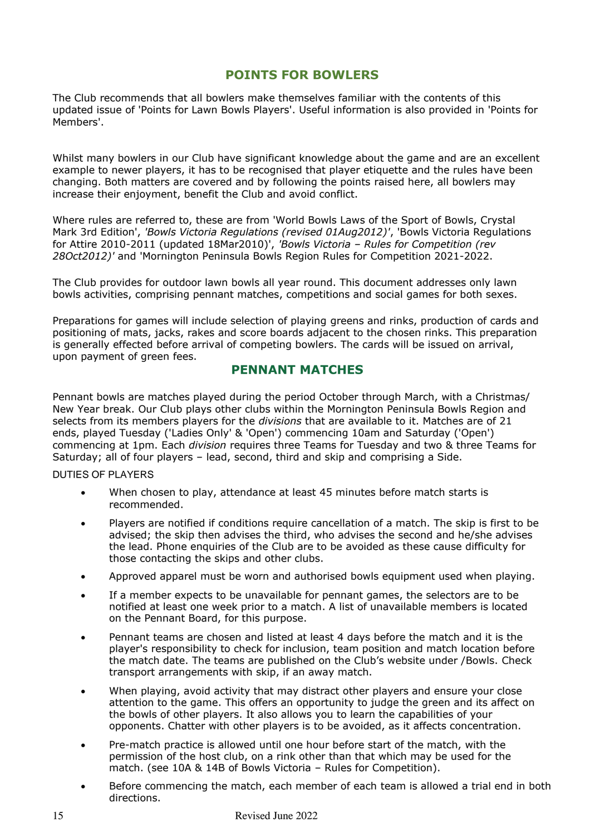### **POINTS FOR BOWLERS**

The Club recommends that all bowlers make themselves familiar with the contents of this updated issue of 'Points for Lawn Bowls Players'. Useful information is also provided in 'Points for Members'.

Whilst many bowlers in our Club have significant knowledge about the game and are an excellent example to newer players, it has to be recognised that player etiquette and the rules have been changing. Both matters are covered and by following the points raised here, all bowlers may increase their enjoyment, benefit the Club and avoid conflict.

Where rules are referred to, these are from 'World Bowls Laws of the Sport of Bowls, Crystal Mark 3rd Edition', *'Bowls Victoria Regulations (revised 01Aug2012)'*, 'Bowls Victoria Regulations for Attire 2010-2011 (updated 18Mar2010)', *'Bowls Victoria – Rules for Competition (rev 28Oct2012)'* and 'Mornington Peninsula Bowls Region Rules for Competition 2021-2022.

The Club provides for outdoor lawn bowls all year round. This document addresses only lawn bowls activities, comprising pennant matches, competitions and social games for both sexes.

Preparations for games will include selection of playing greens and rinks, production of cards and positioning of mats, jacks, rakes and score boards adjacent to the chosen rinks. This preparation is generally effected before arrival of competing bowlers. The cards will be issued on arrival, upon payment of green fees.

### **PENNANT MATCHES**

Pennant bowls are matches played during the period October through March, with a Christmas/ New Year break. Our Club plays other clubs within the Mornington Peninsula Bowls Region and selects from its members players for the *divisions* that are available to it. Matches are of 21 ends, played Tuesday ('Ladies Only' & 'Open') commencing 10am and Saturday ('Open') commencing at 1pm. Each *division* requires three Teams for Tuesday and two & three Teams for Saturday; all of four players – lead, second, third and skip and comprising a Side.

### DUTIES OF PLAYERS

- When chosen to play, attendance at least 45 minutes before match starts is recommended.
- Players are notified if conditions require cancellation of a match. The skip is first to be advised; the skip then advises the third, who advises the second and he/she advises the lead. Phone enquiries of the Club are to be avoided as these cause difficulty for those contacting the skips and other clubs.
- Approved apparel must be worn and authorised bowls equipment used when playing.
- If a member expects to be unavailable for pennant games, the selectors are to be notified at least one week prior to a match. A list of unavailable members is located on the Pennant Board, for this purpose.
- Pennant teams are chosen and listed at least 4 days before the match and it is the player's responsibility to check for inclusion, team position and match location before the match date. The teams are published on the Club's website under /Bowls. Check transport arrangements with skip, if an away match.
- When playing, avoid activity that may distract other players and ensure your close attention to the game. This offers an opportunity to judge the green and its affect on the bowls of other players. It also allows you to learn the capabilities of your opponents. Chatter with other players is to be avoided, as it affects concentration.
- Pre-match practice is allowed until one hour before start of the match, with the permission of the host club, on a rink other than that which may be used for the match. (see 10A & 14B of Bowls Victoria – Rules for Competition).
- Before commencing the match, each member of each team is allowed a trial end in both directions.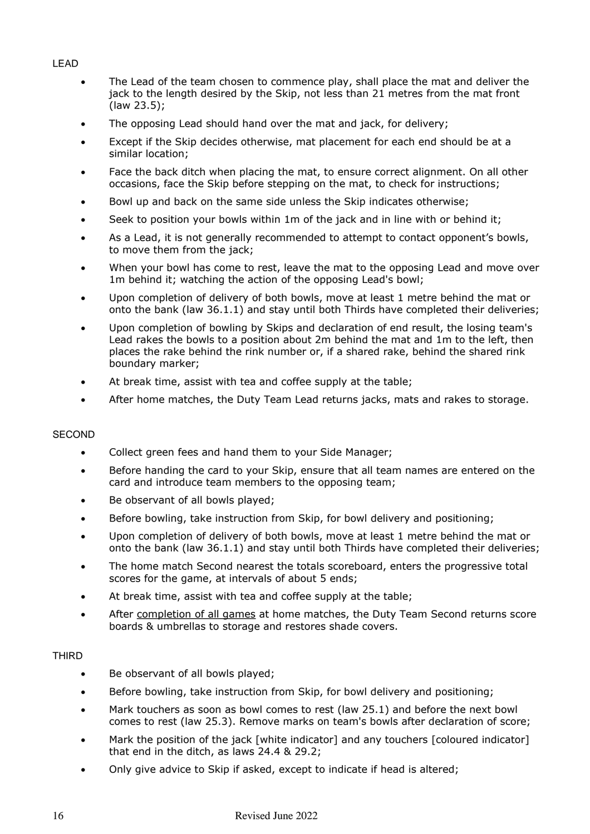### LEAD

- The Lead of the team chosen to commence play, shall place the mat and deliver the jack to the length desired by the Skip, not less than 21 metres from the mat front (law 23.5);
- The opposing Lead should hand over the mat and jack, for delivery;
- Except if the Skip decides otherwise, mat placement for each end should be at a similar location;
- Face the back ditch when placing the mat, to ensure correct alignment. On all other occasions, face the Skip before stepping on the mat, to check for instructions;
- Bowl up and back on the same side unless the Skip indicates otherwise;
- Seek to position your bowls within 1m of the jack and in line with or behind it;
- As a Lead, it is not generally recommended to attempt to contact opponent's bowls, to move them from the jack;
- When your bowl has come to rest, leave the mat to the opposing Lead and move over 1m behind it; watching the action of the opposing Lead's bowl;
- Upon completion of delivery of both bowls, move at least 1 metre behind the mat or onto the bank (law 36.1.1) and stay until both Thirds have completed their deliveries;
- Upon completion of bowling by Skips and declaration of end result, the losing team's Lead rakes the bowls to a position about 2m behind the mat and 1m to the left, then places the rake behind the rink number or, if a shared rake, behind the shared rink boundary marker;
- At break time, assist with tea and coffee supply at the table;
- After home matches, the Duty Team Lead returns jacks, mats and rakes to storage.

### **SECOND**

- Collect green fees and hand them to your Side Manager;
- Before handing the card to your Skip, ensure that all team names are entered on the card and introduce team members to the opposing team;
- Be observant of all bowls played;
- Before bowling, take instruction from Skip, for bowl delivery and positioning;
- Upon completion of delivery of both bowls, move at least 1 metre behind the mat or onto the bank (law 36.1.1) and stay until both Thirds have completed their deliveries;
- The home match Second nearest the totals scoreboard, enters the progressive total scores for the game, at intervals of about 5 ends;
- At break time, assist with tea and coffee supply at the table;
- After completion of all games at home matches, the Duty Team Second returns score boards & umbrellas to storage and restores shade covers.

### THIRD

- Be observant of all bowls played;
- Before bowling, take instruction from Skip, for bowl delivery and positioning;
- Mark touchers as soon as bowl comes to rest (law 25.1) and before the next bowl comes to rest (law 25.3). Remove marks on team's bowls after declaration of score;
- Mark the position of the jack [white indicator] and any touchers [coloured indicator] that end in the ditch, as laws 24.4 & 29.2;
- Only give advice to Skip if asked, except to indicate if head is altered;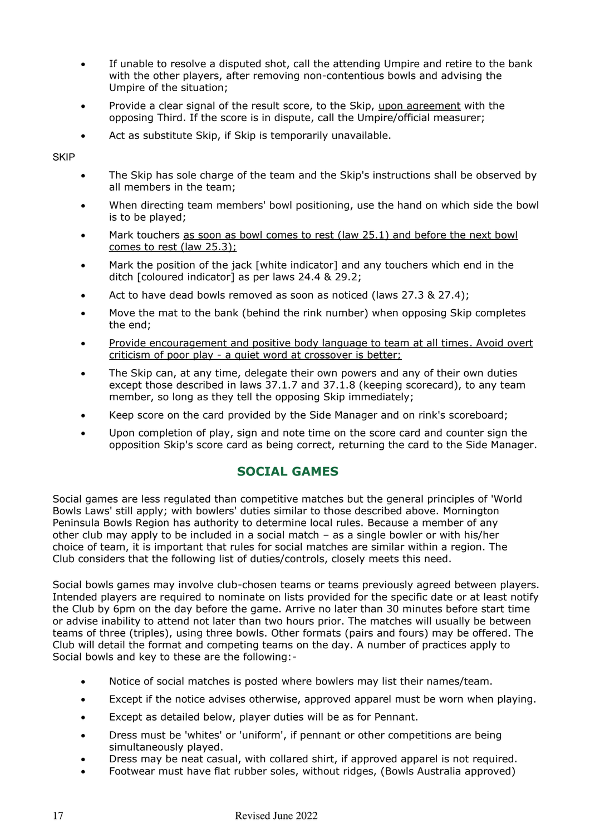- If unable to resolve a disputed shot, call the attending Umpire and retire to the bank with the other players, after removing non-contentious bowls and advising the Umpire of the situation;
- Provide a clear signal of the result score, to the Skip, upon agreement with the opposing Third. If the score is in dispute, call the Umpire/official measurer;
- Act as substitute Skip, if Skip is temporarily unavailable.

**SKIP** 

- The Skip has sole charge of the team and the Skip's instructions shall be observed by all members in the team;
- When directing team members' bowl positioning, use the hand on which side the bowl is to be played;
- Mark touchers as soon as bowl comes to rest (law 25.1) and before the next bowl comes to rest (law 25.3);
- Mark the position of the jack [white indicator] and any touchers which end in the ditch [coloured indicator] as per laws 24.4 & 29.2;
- Act to have dead bowls removed as soon as noticed (laws 27.3 & 27.4);
- Move the mat to the bank (behind the rink number) when opposing Skip completes the end;
- Provide encouragement and positive body language to team at all times. Avoid overt criticism of poor play - a quiet word at crossover is better;
- The Skip can, at any time, delegate their own powers and any of their own duties except those described in laws 37.1.7 and 37.1.8 (keeping scorecard), to any team member, so long as they tell the opposing Skip immediately;
- Keep score on the card provided by the Side Manager and on rink's scoreboard;
- Upon completion of play, sign and note time on the score card and counter sign the opposition Skip's score card as being correct, returning the card to the Side Manager.

### **SOCIAL GAMES**

Social games are less regulated than competitive matches but the general principles of 'World Bowls Laws' still apply; with bowlers' duties similar to those described above. Mornington Peninsula Bowls Region has authority to determine local rules. Because a member of any other club may apply to be included in a social match – as a single bowler or with his/her choice of team, it is important that rules for social matches are similar within a region. The Club considers that the following list of duties/controls, closely meets this need.

Social bowls games may involve club-chosen teams or teams previously agreed between players. Intended players are required to nominate on lists provided for the specific date or at least notify the Club by 6pm on the day before the game. Arrive no later than 30 minutes before start time or advise inability to attend not later than two hours prior. The matches will usually be between teams of three (triples), using three bowls. Other formats (pairs and fours) may be offered. The Club will detail the format and competing teams on the day. A number of practices apply to Social bowls and key to these are the following:-

- Notice of social matches is posted where bowlers may list their names/team.
- Except if the notice advises otherwise, approved apparel must be worn when playing.
- Except as detailed below, player duties will be as for Pennant.
- Dress must be 'whites' or 'uniform', if pennant or other competitions are being simultaneously played.
- Dress may be neat casual, with collared shirt, if approved apparel is not required.
- Footwear must have flat rubber soles, without ridges, (Bowls Australia approved)